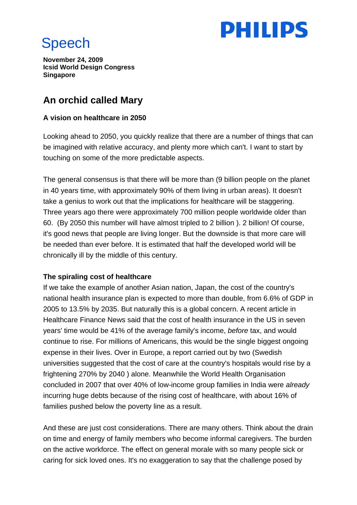

# Speech

**November 24, 2009 Icsid World Design Congress Singapore** 

# **An orchid called Mary**

# **A vision on healthcare in 2050**

Looking ahead to 2050, you quickly realize that there are a number of things that can be imagined with relative accuracy, and plenty more which can't. I want to start by touching on some of the more predictable aspects.

The general consensus is that there will be more than (9 billion people on the planet in 40 years time, with approximately 90% of them living in urban areas). It doesn't take a genius to work out that the implications for healthcare will be staggering. Three years ago there were approximately 700 million people worldwide older than 60. (By 2050 this number will have almost tripled to 2 billion ). 2 billion! Of course, it's good news that people are living longer. But the downside is that more care will be needed than ever before. It is estimated that half the developed world will be chronically ill by the middle of this century.

# **The spiraling cost of healthcare**

If we take the example of another Asian nation, Japan, the cost of the country's national health insurance plan is expected to more than double, from 6.6% of GDP in 2005 to 13.5% by 2035. But naturally this is a global concern. A recent article in Healthcare Finance News said that the cost of health insurance in the US in seven years' time would be 41% of the average family's income, *before* tax, and would continue to rise. For millions of Americans, this would be the single biggest ongoing expense in their lives. Over in Europe, a report carried out by two (Swedish universities suggested that the cost of care at the country's hospitals would rise by a frightening 270% by 2040 ) alone. Meanwhile the World Health Organisation concluded in 2007 that over 40% of low-income group families in India were *already*  incurring huge debts because of the rising cost of healthcare, with about 16% of families pushed below the poverty line as a result.

And these are just cost considerations. There are many others. Think about the drain on time and energy of family members who become informal caregivers. The burden on the active workforce. The effect on general morale with so many people sick or caring for sick loved ones. It's no exaggeration to say that the challenge posed by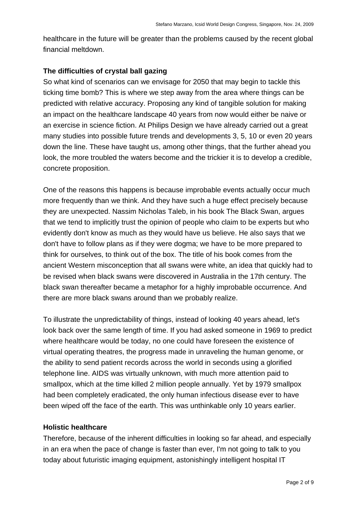healthcare in the future will be greater than the problems caused by the recent global financial meltdown.

#### **The difficulties of crystal ball gazing**

So what kind of scenarios can we envisage for 2050 that may begin to tackle this ticking time bomb? This is where we step away from the area where things can be predicted with relative accuracy. Proposing any kind of tangible solution for making an impact on the healthcare landscape 40 years from now would either be naive or an exercise in science fiction. At Philips Design we have already carried out a great many studies into possible future trends and developments 3, 5, 10 or even 20 years down the line. These have taught us, among other things, that the further ahead you look, the more troubled the waters become and the trickier it is to develop a credible, concrete proposition.

One of the reasons this happens is because improbable events actually occur much more frequently than we think. And they have such a huge effect precisely because they are unexpected. Nassim Nicholas Taleb, in his book The Black Swan, argues that we tend to implicitly trust the opinion of people who claim to be experts but who evidently don't know as much as they would have us believe. He also says that we don't have to follow plans as if they were dogma; we have to be more prepared to think for ourselves, to think out of the box. The title of his book comes from the ancient Western misconception that all swans were white, an idea that quickly had to be revised when black swans were discovered in Australia in the 17th century. The black swan thereafter became a metaphor for a highly improbable occurrence. And there are more black swans around than we probably realize.

To illustrate the unpredictability of things, instead of looking 40 years ahead, let's look back over the same length of time. If you had asked someone in 1969 to predict where healthcare would be today, no one could have foreseen the existence of virtual operating theatres, the progress made in unraveling the human genome, or the ability to send patient records across the world in seconds using a glorified telephone line. AIDS was virtually unknown, with much more attention paid to smallpox, which at the time killed 2 million people annually. Yet by 1979 smallpox had been completely eradicated, the only human infectious disease ever to have been wiped off the face of the earth. This was unthinkable only 10 years earlier.

#### **Holistic healthcare**

Therefore, because of the inherent difficulties in looking so far ahead, and especially in an era when the pace of change is faster than ever, I'm not going to talk to you today about futuristic imaging equipment, astonishingly intelligent hospital IT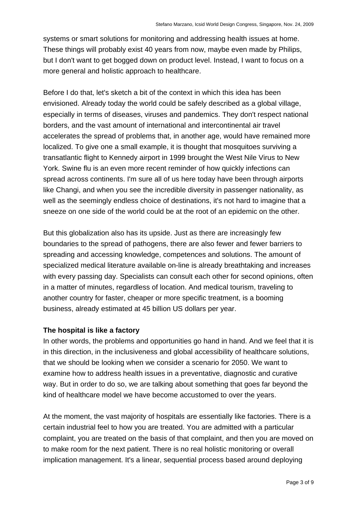systems or smart solutions for monitoring and addressing health issues at home. These things will probably exist 40 years from now, maybe even made by Philips, but I don't want to get bogged down on product level. Instead, I want to focus on a more general and holistic approach to healthcare.

Before I do that, let's sketch a bit of the context in which this idea has been envisioned. Already today the world could be safely described as a global village, especially in terms of diseases, viruses and pandemics. They don't respect national borders, and the vast amount of international and intercontinental air travel accelerates the spread of problems that, in another age, would have remained more localized. To give one a small example, it is thought that mosquitoes surviving a transatlantic flight to Kennedy airport in 1999 brought the West Nile Virus to New York. Swine flu is an even more recent reminder of how quickly infections can spread across continents. I'm sure all of us here today have been through airports like Changi, and when you see the incredible diversity in passenger nationality, as well as the seemingly endless choice of destinations, it's not hard to imagine that a sneeze on one side of the world could be at the root of an epidemic on the other.

But this globalization also has its upside. Just as there are increasingly few boundaries to the spread of pathogens, there are also fewer and fewer barriers to spreading and accessing knowledge, competences and solutions. The amount of specialized medical literature available on-line is already breathtaking and increases with every passing day. Specialists can consult each other for second opinions, often in a matter of minutes, regardless of location. And medical tourism, traveling to another country for faster, cheaper or more specific treatment, is a booming business, already estimated at 45 billion US dollars per year.

# **The hospital is like a factory**

In other words, the problems and opportunities go hand in hand. And we feel that it is in this direction, in the inclusiveness and global accessibility of healthcare solutions, that we should be looking when we consider a scenario for 2050. We want to examine how to address health issues in a preventative, diagnostic and curative way. But in order to do so, we are talking about something that goes far beyond the kind of healthcare model we have become accustomed to over the years.

At the moment, the vast majority of hospitals are essentially like factories. There is a certain industrial feel to how you are treated. You are admitted with a particular complaint, you are treated on the basis of that complaint, and then you are moved on to make room for the next patient. There is no real holistic monitoring or overall implication management. It's a linear, sequential process based around deploying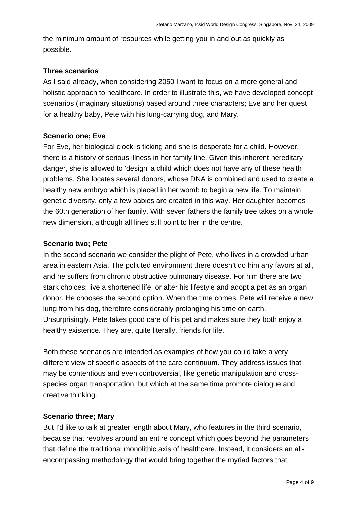the minimum amount of resources while getting you in and out as quickly as possible.

# **Three scenarios**

As I said already, when considering 2050 I want to focus on a more general and holistic approach to healthcare. In order to illustrate this, we have developed concept scenarios (imaginary situations) based around three characters; Eve and her quest for a healthy baby, Pete with his lung-carrying dog, and Mary.

# **Scenario one; Eve**

For Eve, her biological clock is ticking and she is desperate for a child. However, there is a history of serious illness in her family line. Given this inherent hereditary danger, she is allowed to 'design' a child which does not have any of these health problems. She locates several donors, whose DNA is combined and used to create a healthy new embryo which is placed in her womb to begin a new life. To maintain genetic diversity, only a few babies are created in this way. Her daughter becomes the 60th generation of her family. With seven fathers the family tree takes on a whole new dimension, although all lines still point to her in the centre.

#### **Scenario two; Pete**

In the second scenario we consider the plight of Pete, who lives in a crowded urban area in eastern Asia. The polluted environment there doesn't do him any favors at all, and he suffers from chronic obstructive pulmonary disease. For him there are two stark choices; live a shortened life, or alter his lifestyle and adopt a pet as an organ donor. He chooses the second option. When the time comes, Pete will receive a new lung from his dog, therefore considerably prolonging his time on earth. Unsurprisingly, Pete takes good care of his pet and makes sure they both enjoy a healthy existence. They are, quite literally, friends for life.

Both these scenarios are intended as examples of how you could take a very different view of specific aspects of the care continuum. They address issues that may be contentious and even controversial, like genetic manipulation and crossspecies organ transportation, but which at the same time promote dialogue and creative thinking.

#### **Scenario three; Mary**

But I'd like to talk at greater length about Mary, who features in the third scenario, because that revolves around an entire concept which goes beyond the parameters that define the traditional monolithic axis of healthcare. Instead, it considers an allencompassing methodology that would bring together the myriad factors that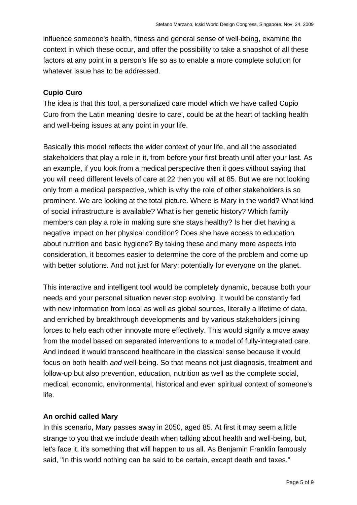influence someone's health, fitness and general sense of well-being, examine the context in which these occur, and offer the possibility to take a snapshot of all these factors at any point in a person's life so as to enable a more complete solution for whatever issue has to be addressed.

#### **Cupio Curo**

The idea is that this tool, a personalized care model which we have called Cupio Curo from the Latin meaning 'desire to care', could be at the heart of tackling health and well-being issues at any point in your life.

Basically this model reflects the wider context of your life, and all the associated stakeholders that play a role in it, from before your first breath until after your last. As an example, if you look from a medical perspective then it goes without saying that you will need different levels of care at 22 then you will at 85. But we are not looking only from a medical perspective, which is why the role of other stakeholders is so prominent. We are looking at the total picture. Where is Mary in the world? What kind of social infrastructure is available? What is her genetic history? Which family members can play a role in making sure she stays healthy? Is her diet having a negative impact on her physical condition? Does she have access to education about nutrition and basic hygiene? By taking these and many more aspects into consideration, it becomes easier to determine the core of the problem and come up with better solutions. And not just for Mary; potentially for everyone on the planet.

This interactive and intelligent tool would be completely dynamic, because both your needs and your personal situation never stop evolving. It would be constantly fed with new information from local as well as global sources, literally a lifetime of data, and enriched by breakthrough developments and by various stakeholders joining forces to help each other innovate more effectively. This would signify a move away from the model based on separated interventions to a model of fully-integrated care. And indeed it would transcend healthcare in the classical sense because it would focus on both health *and* well-being. So that means not just diagnosis, treatment and follow-up but also prevention, education, nutrition as well as the complete social, medical, economic, environmental, historical and even spiritual context of someone's life.

#### **An orchid called Mary**

In this scenario, Mary passes away in 2050, aged 85. At first it may seem a little strange to you that we include death when talking about health and well-being, but, let's face it, it's something that will happen to us all. As Benjamin Franklin famously said, "In this world nothing can be said to be certain, except death and taxes."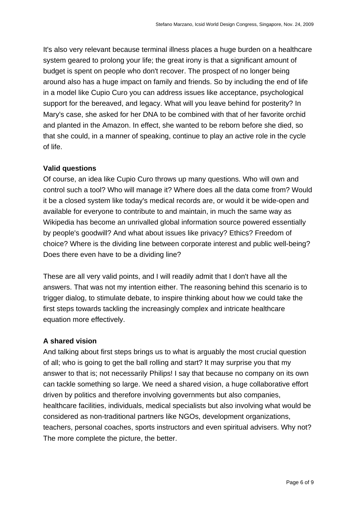It's also very relevant because terminal illness places a huge burden on a healthcare system geared to prolong your life; the great irony is that a significant amount of budget is spent on people who don't recover. The prospect of no longer being around also has a huge impact on family and friends. So by including the end of life in a model like Cupio Curo you can address issues like acceptance, psychological support for the bereaved, and legacy. What will you leave behind for posterity? In Mary's case, she asked for her DNA to be combined with that of her favorite orchid and planted in the Amazon. In effect, she wanted to be reborn before she died, so that she could, in a manner of speaking, continue to play an active role in the cycle of life.

# **Valid questions**

Of course, an idea like Cupio Curo throws up many questions. Who will own and control such a tool? Who will manage it? Where does all the data come from? Would it be a closed system like today's medical records are, or would it be wide-open and available for everyone to contribute to and maintain, in much the same way as Wikipedia has become an unrivalled global information source powered essentially by people's goodwill? And what about issues like privacy? Ethics? Freedom of choice? Where is the dividing line between corporate interest and public well-being? Does there even have to be a dividing line?

These are all very valid points, and I will readily admit that I don't have all the answers. That was not my intention either. The reasoning behind this scenario is to trigger dialog, to stimulate debate, to inspire thinking about how we could take the first steps towards tackling the increasingly complex and intricate healthcare equation more effectively.

# **A shared vision**

And talking about first steps brings us to what is arguably the most crucial question of all; who is going to get the ball rolling and start? It may surprise you that my answer to that is; not necessarily Philips! I say that because no company on its own can tackle something so large. We need a shared vision, a huge collaborative effort driven by politics and therefore involving governments but also companies, healthcare facilities, individuals, medical specialists but also involving what would be considered as non-traditional partners like NGOs, development organizations, teachers, personal coaches, sports instructors and even spiritual advisers. Why not? The more complete the picture, the better.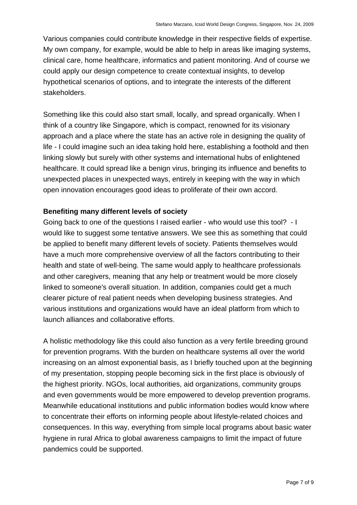Various companies could contribute knowledge in their respective fields of expertise. My own company, for example, would be able to help in areas like imaging systems, clinical care, home healthcare, informatics and patient monitoring. And of course we could apply our design competence to create contextual insights, to develop hypothetical scenarios of options, and to integrate the interests of the different stakeholders.

Something like this could also start small, locally, and spread organically. When I think of a country like Singapore, which is compact, renowned for its visionary approach and a place where the state has an active role in designing the quality of life - I could imagine such an idea taking hold here, establishing a foothold and then linking slowly but surely with other systems and international hubs of enlightened healthcare. It could spread like a benign virus, bringing its influence and benefits to unexpected places in unexpected ways, entirely in keeping with the way in which open innovation encourages good ideas to proliferate of their own accord.

#### **Benefiting many different levels of society**

Going back to one of the questions I raised earlier - who would use this tool? - I would like to suggest some tentative answers. We see this as something that could be applied to benefit many different levels of society. Patients themselves would have a much more comprehensive overview of all the factors contributing to their health and state of well-being. The same would apply to healthcare professionals and other caregivers, meaning that any help or treatment would be more closely linked to someone's overall situation. In addition, companies could get a much clearer picture of real patient needs when developing business strategies. And various institutions and organizations would have an ideal platform from which to launch alliances and collaborative efforts.

A holistic methodology like this could also function as a very fertile breeding ground for prevention programs. With the burden on healthcare systems all over the world increasing on an almost exponential basis, as I briefly touched upon at the beginning of my presentation, stopping people becoming sick in the first place is obviously of the highest priority. NGOs, local authorities, aid organizations, community groups and even governments would be more empowered to develop prevention programs. Meanwhile educational institutions and public information bodies would know where to concentrate their efforts on informing people about lifestyle-related choices and consequences. In this way, everything from simple local programs about basic water hygiene in rural Africa to global awareness campaigns to limit the impact of future pandemics could be supported.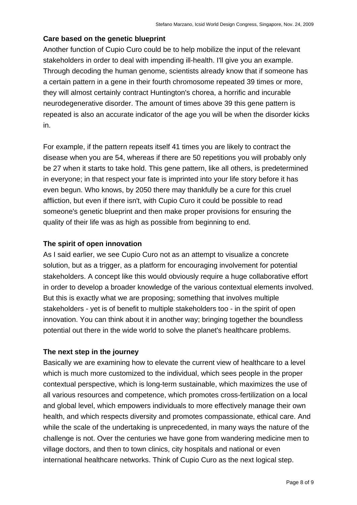# **Care based on the genetic blueprint**

Another function of Cupio Curo could be to help mobilize the input of the relevant stakeholders in order to deal with impending ill-health. I'll give you an example. Through decoding the human genome, scientists already know that if someone has a certain pattern in a gene in their fourth chromosome repeated 39 times or more, they will almost certainly contract Huntington's chorea, a horrific and incurable neurodegenerative disorder. The amount of times above 39 this gene pattern is repeated is also an accurate indicator of the age you will be when the disorder kicks in.

For example, if the pattern repeats itself 41 times you are likely to contract the disease when you are 54, whereas if there are 50 repetitions you will probably only be 27 when it starts to take hold. This gene pattern, like all others, is predetermined in everyone; in that respect your fate is imprinted into your life story before it has even begun. Who knows, by 2050 there may thankfully be a cure for this cruel affliction, but even if there isn't, with Cupio Curo it could be possible to read someone's genetic blueprint and then make proper provisions for ensuring the quality of their life was as high as possible from beginning to end.

# **The spirit of open innovation**

As I said earlier, we see Cupio Curo not as an attempt to visualize a concrete solution, but as a trigger, as a platform for encouraging involvement for potential stakeholders. A concept like this would obviously require a huge collaborative effort in order to develop a broader knowledge of the various contextual elements involved. But this is exactly what we are proposing; something that involves multiple stakeholders - yet is of benefit to multiple stakeholders too - in the spirit of open innovation. You can think about it in another way; bringing together the boundless potential out there in the wide world to solve the planet's healthcare problems.

# **The next step in the journey**

Basically we are examining how to elevate the current view of healthcare to a level which is much more customized to the individual, which sees people in the proper contextual perspective, which is long-term sustainable, which maximizes the use of all various resources and competence, which promotes cross-fertilization on a local and global level, which empowers individuals to more effectively manage their own health, and which respects diversity and promotes compassionate, ethical care. And while the scale of the undertaking is unprecedented, in many ways the nature of the challenge is not. Over the centuries we have gone from wandering medicine men to village doctors, and then to town clinics, city hospitals and national or even international healthcare networks. Think of Cupio Curo as the next logical step.